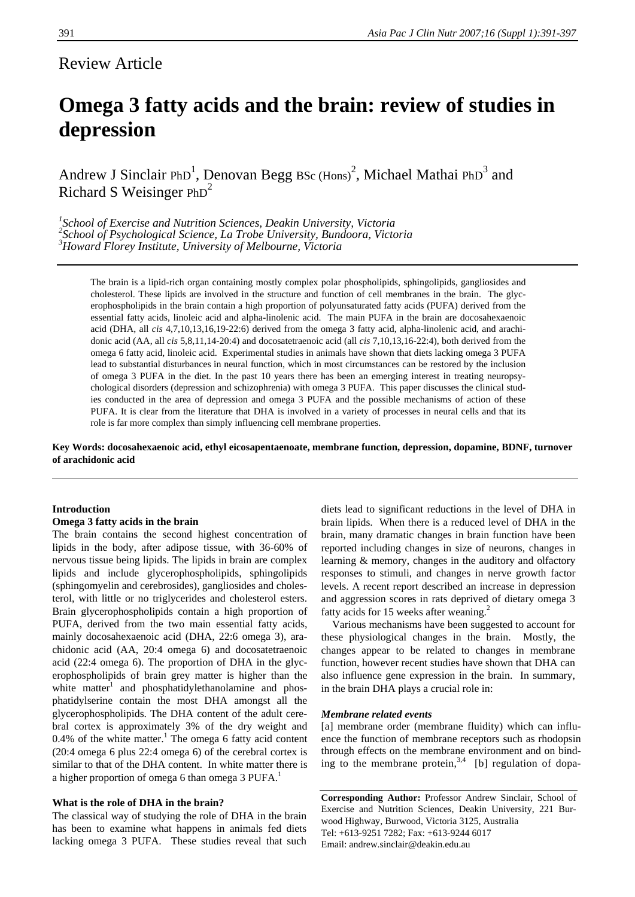# Review Article

# **Omega 3 fatty acids and the brain: review of studies in depression**

Andrew J Sinclair PhD<sup>1</sup>, Denovan Begg BSc (Hons)<sup>2</sup>, Michael Mathai PhD<sup>3</sup> and Richard S Weisinger  $PhD<sup>2</sup>$ 

<sup>1</sup><br>
<sup>2</sup> School of Exercise and Nutrition Sciences, Deakin University, Victoria <sup>2</sup> School of Psychooigle Science, La Trobe University, Pundoorg, Victor *School of Psychological Science, La Trobe University, Bundoora, Victoria 3 Howard Florey Institute, University of Melbourne, Victoria* 

The brain is a lipid-rich organ containing mostly complex polar phospholipids, sphingolipids, gangliosides and cholesterol. These lipids are involved in the structure and function of cell membranes in the brain. The glycerophospholipids in the brain contain a high proportion of polyunsaturated fatty acids (PUFA) derived from the essential fatty acids, linoleic acid and alpha-linolenic acid. The main PUFA in the brain are docosahexaenoic acid (DHA, all *cis* 4,7,10,13,16,19-22:6) derived from the omega 3 fatty acid, alpha-linolenic acid, and arachidonic acid (AA, all *cis* 5,8,11,14-20:4) and docosatetraenoic acid (all *cis* 7,10,13,16-22:4), both derived from the omega 6 fatty acid, linoleic acid. Experimental studies in animals have shown that diets lacking omega 3 PUFA lead to substantial disturbances in neural function, which in most circumstances can be restored by the inclusion of omega 3 PUFA in the diet. In the past 10 years there has been an emerging interest in treating neuropsychological disorders (depression and schizophrenia) with omega 3 PUFA. This paper discusses the clinical studies conducted in the area of depression and omega 3 PUFA and the possible mechanisms of action of these PUFA. It is clear from the literature that DHA is involved in a variety of processes in neural cells and that its role is far more complex than simply influencing cell membrane properties.

**Key Words: docosahexaenoic acid, ethyl eicosapentaenoate, membrane function, depression, dopamine, BDNF, turnover of arachidonic acid**

# **Introduction**

# **Omega 3 fatty acids in the brain**

The brain contains the second highest concentration of lipids in the body, after adipose tissue, with 36-60% of nervous tissue being lipids. The lipids in brain are complex lipids and include glycerophospholipids, sphingolipids (sphingomyelin and cerebrosides), gangliosides and cholesterol, with little or no triglycerides and cholesterol esters. Brain glycerophospholipids contain a high proportion of PUFA, derived from the two main essential fatty acids, mainly docosahexaenoic acid (DHA, 22:6 omega 3), arachidonic acid (AA, 20:4 omega 6) and docosatetraenoic acid (22:4 omega 6). The proportion of DHA in the glycerophospholipids of brain grey matter is higher than the white matter $1$  and phosphatidylethanolamine and phosphatidylserine contain the most DHA amongst all the glycerophospholipids. The DHA content of the adult cerebral cortex is approximately 3% of the dry weight and  $0.4\%$  of the white matter.<sup>1</sup> The omega 6 fatty acid content (20:4 omega 6 plus 22:4 omega 6) of the cerebral cortex is similar to that of the DHA content. In white matter there is a higher proportion of omega 6 than omega 3 PUFA.<sup>1</sup>

#### **What is the role of DHA in the brain?**

The classical way of studying the role of DHA in the brain has been to examine what happens in animals fed diets lacking omega 3 PUFA. These studies reveal that such diets lead to significant reductions in the level of DHA in brain lipids. When there is a reduced level of DHA in the brain, many dramatic changes in brain function have been reported including changes in size of neurons, changes in learning & memory, changes in the auditory and olfactory responses to stimuli, and changes in nerve growth factor levels. A recent report described an increase in depression and aggression scores in rats deprived of dietary omega 3 fatty acids for 15 weeks after weaning.<sup>2</sup>

 Various mechanisms have been suggested to account for these physiological changes in the brain. Mostly, the changes appear to be related to changes in membrane function, however recent studies have shown that DHA can also influence gene expression in the brain. In summary, in the brain DHA plays a crucial role in:

#### *Membrane related events*

[a] membrane order (membrane fluidity) which can influence the function of membrane receptors such as rhodopsin through effects on the membrane environment and on binding to the membrane protein,  $3,4$  [b] regulation of dopa-

**Corresponding Author:** Professor Andrew Sinclair, School of Exercise and Nutrition Sciences, Deakin University, 221 Burwood Highway, Burwood, Victoria 3125, Australia Tel: +613-9251 7282; Fax: +613-9244 6017 Email: andrew.sinclair@deakin.edu.au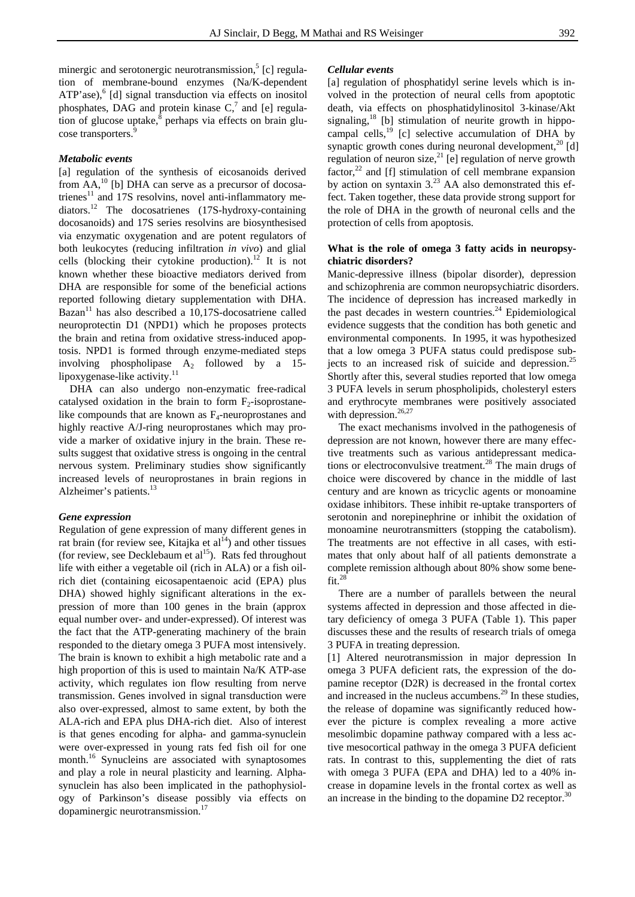minergic and serotonergic neurotransmission,<sup>5</sup> [c] regulation of membrane-bound enzymes (Na/K-dependent ATP'ase),<sup>6</sup> [d] signal transduction via effects on inositol phosphates, DAG and protein kinase  $C<sub>1</sub><sup>7</sup>$  and [e] regulation of glucose uptake,<sup>8</sup> perhaps via effects on brain glucose transporters.<sup>9</sup>

#### *Metabolic events*

[a] regulation of the synthesis of eicosanoids derived from  $AA$ ,<sup>10</sup> [b] DHA can serve as a precursor of docosatrienes $^{11}$  and 17S resolvins, novel anti-inflammatory mediators.12 The docosatrienes (17S-hydroxy-containing docosanoids) and 17S series resolvins are biosynthesised via enzymatic oxygenation and are potent regulators of both leukocytes (reducing infiltration *in vivo*) and glial cells (blocking their cytokine production).<sup>12</sup> It is not known whether these bioactive mediators derived from DHA are responsible for some of the beneficial actions reported following dietary supplementation with DHA. Bazan<sup>11</sup> has also described a 10,17S-docosatriene called neuroprotectin D1 (NPD1) which he proposes protects the brain and retina from oxidative stress-induced apoptosis. NPD1 is formed through enzyme-mediated steps involving phospholipase  $A_2$  followed by a 15lipoxygenase-like activity.<sup>11</sup>

 DHA can also undergo non-enzymatic free-radical catalysed oxidation in the brain to form  $F_2$ -isoprostanelike compounds that are known as  $F_4$ -neuroprostanes and highly reactive A/J-ring neuroprostanes which may provide a marker of oxidative injury in the brain. These results suggest that oxidative stress is ongoing in the central nervous system. Preliminary studies show significantly increased levels of neuroprostanes in brain regions in Alzheimer's patients.<sup>13</sup>

#### *Gene expression*

Regulation of gene expression of many different genes in rat brain (for review see, Kitajka et  $al<sup>14</sup>$ ) and other tissues (for review, see Decklebaum et  $al<sup>15</sup>$ ). Rats fed throughout life with either a vegetable oil (rich in ALA) or a fish oilrich diet (containing eicosapentaenoic acid (EPA) plus DHA) showed highly significant alterations in the expression of more than 100 genes in the brain (approx equal number over- and under-expressed). Of interest was the fact that the ATP-generating machinery of the brain responded to the dietary omega 3 PUFA most intensively. The brain is known to exhibit a high metabolic rate and a high proportion of this is used to maintain Na/K ATP-ase activity, which regulates ion flow resulting from nerve transmission. Genes involved in signal transduction were also over-expressed, almost to same extent, by both the ALA-rich and EPA plus DHA-rich diet. Also of interest is that genes encoding for alpha- and gamma-synuclein were over-expressed in young rats fed fish oil for one month.<sup>16</sup> Synucleins are associated with synaptosomes and play a role in neural plasticity and learning. Alphasynuclein has also been implicated in the pathophysiology of Parkinson's disease possibly via effects on dopaminergic neurotransmission.<sup>17</sup>

# *Cellular events*

[a] regulation of phosphatidyl serine levels which is involved in the protection of neural cells from apoptotic death, via effects on phosphatidylinositol 3-kinase/Akt signaling, $^{18}$  [b] stimulation of neurite growth in hippocampal cells, $^{19}$  [c] selective accumulation of DHA by synaptic growth cones during neuronal development, $^{20}$  [d] regulation of neuron size,<sup>21</sup> [e] regulation of nerve growth factor,<sup>22</sup> and [f] stimulation of cell membrane expansion by action on syntaxin  $3.^{23}$  AA also demonstrated this effect. Taken together, these data provide strong support for the role of DHA in the growth of neuronal cells and the protection of cells from apoptosis.

# **What is the role of omega 3 fatty acids in neuropsychiatric disorders?**

Manic-depressive illness (bipolar disorder), depression and schizophrenia are common neuropsychiatric disorders. The incidence of depression has increased markedly in the past decades in western countries. $24$  Epidemiological evidence suggests that the condition has both genetic and environmental components. In 1995, it was hypothesized that a low omega 3 PUFA status could predispose subjects to an increased risk of suicide and depression.<sup>25</sup> Shortly after this, several studies reported that low omega 3 PUFA levels in serum phospholipids, cholesteryl esters and erythrocyte membranes were positively associated with depression.<sup>26,27</sup>

 The exact mechanisms involved in the pathogenesis of depression are not known, however there are many effective treatments such as various antidepressant medications or electroconvulsive treatment.<sup>28</sup> The main drugs of choice were discovered by chance in the middle of last century and are known as tricyclic agents or monoamine oxidase inhibitors. These inhibit re-uptake transporters of serotonin and norepinephrine or inhibit the oxidation of monoamine neurotransmitters (stopping the catabolism). The treatments are not effective in all cases, with estimates that only about half of all patients demonstrate a complete remission although about 80% show some bene $fit.<sup>28</sup>$ 

 There are a number of parallels between the neural systems affected in depression and those affected in dietary deficiency of omega 3 PUFA (Table 1). This paper discusses these and the results of research trials of omega 3 PUFA in treating depression.

[1] Altered neurotransmission in major depression In omega 3 PUFA deficient rats, the expression of the dopamine receptor (D2R) is decreased in the frontal cortex and increased in the nucleus accumbens. $^{29}$  In these studies, the release of dopamine was significantly reduced however the picture is complex revealing a more active mesolimbic dopamine pathway compared with a less active mesocortical pathway in the omega 3 PUFA deficient rats. In contrast to this, supplementing the diet of rats with omega 3 PUFA (EPA and DHA) led to a 40% increase in dopamine levels in the frontal cortex as well as an increase in the binding to the dopamine  $D2$  receptor.<sup>30</sup>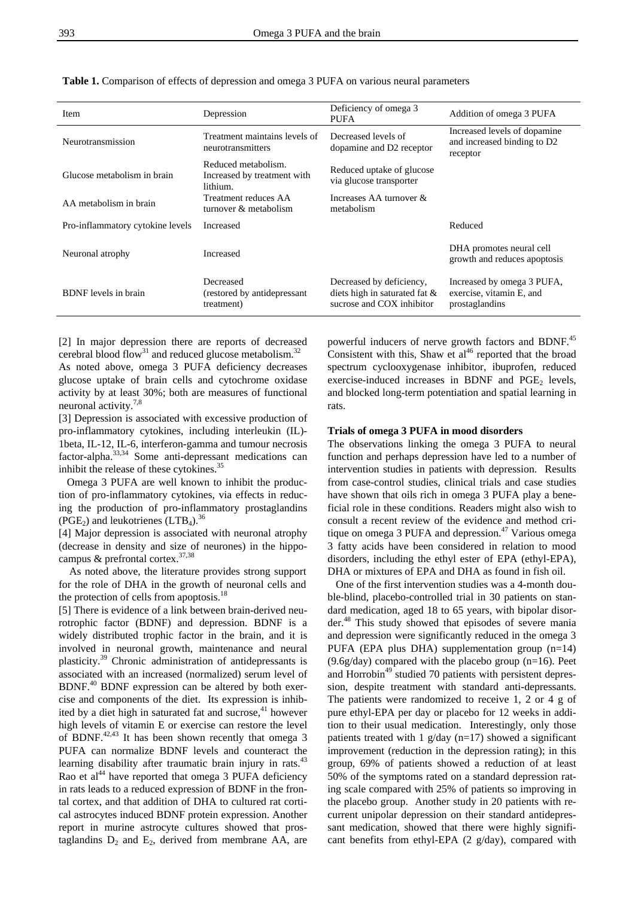| <b>Item</b>                      | Depression                                                     | Deficiency of omega 3<br><b>PUFA</b>                                                   | Addition of omega 3 PUFA                                                 |
|----------------------------------|----------------------------------------------------------------|----------------------------------------------------------------------------------------|--------------------------------------------------------------------------|
| Neurotransmission                | Treatment maintains levels of<br>neurotransmitters             | Decreased levels of<br>dopamine and D2 receptor                                        | Increased levels of dopamine<br>and increased binding to D2<br>receptor  |
| Glucose metabolism in brain      | Reduced metabolism.<br>Increased by treatment with<br>lithium. | Reduced uptake of glucose<br>via glucose transporter                                   |                                                                          |
| AA metabolism in brain           | Treatment reduces AA<br>turnover & metabolism                  | Increases AA turnover $\&$<br>metabolism                                               |                                                                          |
| Pro-inflammatory cytokine levels | Increased                                                      |                                                                                        | Reduced                                                                  |
| Neuronal atrophy                 | Increased                                                      |                                                                                        | DHA promotes neural cell<br>growth and reduces apoptosis                 |
| <b>BDNF</b> levels in brain      | Decreased<br>(restored by antidepressant)<br>treatment)        | Decreased by deficiency,<br>diets high in saturated fat &<br>sucrose and COX inhibitor | Increased by omega 3 PUFA,<br>exercise, vitamin E, and<br>prostaglandins |

**Table 1.** Comparison of effects of depression and omega 3 PUFA on various neural parameters

[2] In major depression there are reports of decreased cerebral blood flow<sup>31</sup> and reduced glucose metabolism.<sup>32</sup>

As noted above, omega 3 PUFA deficiency decreases glucose uptake of brain cells and cytochrome oxidase activity by at least 30%; both are measures of functional neuronal activity.7,8

[3] Depression is associated with excessive production of pro-inflammatory cytokines, including interleukin (IL)- 1beta, IL-12, IL-6, interferon-gamma and tumour necrosis factor-alpha.33,34 Some anti-depressant medications can inhibit the release of these cytokines.<sup>35</sup>

 Omega 3 PUFA are well known to inhibit the production of pro-inflammatory cytokines, via effects in reducing the production of pro-inflammatory prostaglandins (PGE<sub>2</sub>) and leukotrienes (LTB<sub>4</sub>).<sup>36</sup>

[4] Major depression is associated with neuronal atrophy (decrease in density and size of neurones) in the hippocampus & prefrontal cortex.37,38

 As noted above, the literature provides strong support for the role of DHA in the growth of neuronal cells and the protection of cells from apoptosis.<sup>18</sup>

[5] There is evidence of a link between brain-derived neurotrophic factor (BDNF) and depression. BDNF is a widely distributed trophic factor in the brain, and it is involved in neuronal growth, maintenance and neural plasticity.39 Chronic administration of antidepressants is associated with an increased (normalized) serum level of BDNF.40 BDNF expression can be altered by both exercise and components of the diet. Its expression is inhibited by a diet high in saturated fat and sucrose,<sup>41</sup> however high levels of vitamin E or exercise can restore the level of BDNF.<sup>42,43</sup> It has been shown recently that omega 3 PUFA can normalize BDNF levels and counteract the learning disability after traumatic brain injury in rats.<sup>43</sup> Rao et  $al<sup>44</sup>$  have reported that omega 3 PUFA deficiency in rats leads to a reduced expression of BDNF in the frontal cortex, and that addition of DHA to cultured rat cortical astrocytes induced BDNF protein expression. Another report in murine astrocyte cultures showed that prostaglandins  $D_2$  and  $E_2$ , derived from membrane AA, are powerful inducers of nerve growth factors and BDNF.<sup>45</sup> Consistent with this, Shaw et  $al<sup>46</sup>$  reported that the broad spectrum cyclooxygenase inhibitor, ibuprofen, reduced exercise-induced increases in BDNF and  $PGE<sub>2</sub>$  levels, and blocked long-term potentiation and spatial learning in rats.

### **Trials of omega 3 PUFA in mood disorders**

The observations linking the omega 3 PUFA to neural function and perhaps depression have led to a number of intervention studies in patients with depression. Results from case-control studies, clinical trials and case studies have shown that oils rich in omega 3 PUFA play a beneficial role in these conditions. Readers might also wish to consult a recent review of the evidence and method critique on omega 3 PUFA and depression. $47$  Various omega 3 fatty acids have been considered in relation to mood disorders, including the ethyl ester of EPA (ethyl-EPA), DHA or mixtures of EPA and DHA as found in fish oil.

 One of the first intervention studies was a 4-month double-blind, placebo-controlled trial in 30 patients on standard medication, aged 18 to 65 years, with bipolar disorder.<sup>48</sup> This study showed that episodes of severe mania and depression were significantly reduced in the omega 3 PUFA (EPA plus DHA) supplementation group  $(n=14)$  $(9.6g/day)$  compared with the placebo group  $(n=16)$ . Peet and Horrobin<sup>49</sup> studied 70 patients with persistent depression, despite treatment with standard anti-depressants. The patients were randomized to receive 1, 2 or 4 g of pure ethyl-EPA per day or placebo for 12 weeks in addition to their usual medication. Interestingly, only those patients treated with 1  $g/day (n=17)$  showed a significant improvement (reduction in the depression rating); in this group, 69% of patients showed a reduction of at least 50% of the symptoms rated on a standard depression rating scale compared with 25% of patients so improving in the placebo group. Another study in 20 patients with recurrent unipolar depression on their standard antidepressant medication, showed that there were highly significant benefits from ethyl-EPA (2 g/day), compared with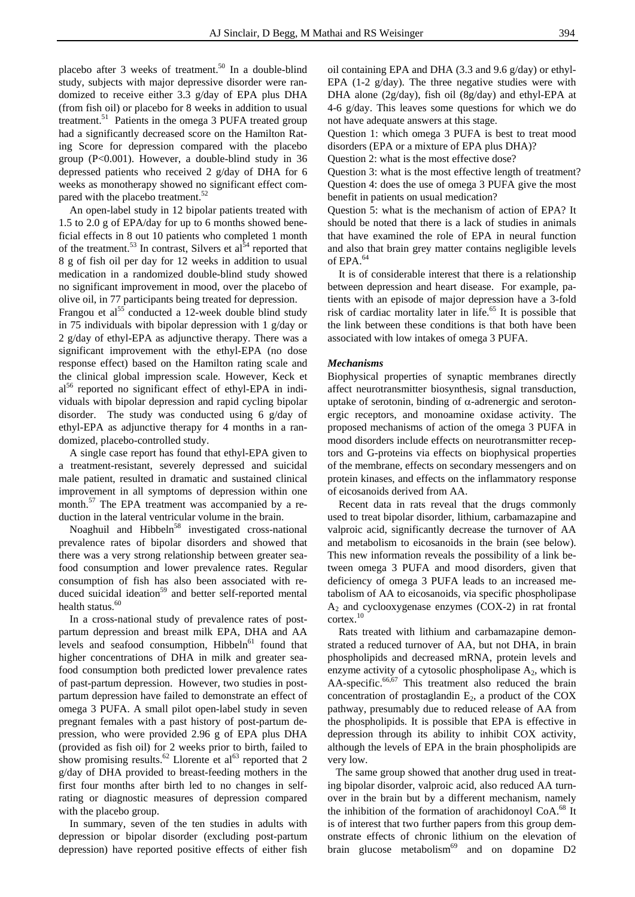placebo after 3 weeks of treatment.<sup>50</sup> In a double-blind study, subjects with major depressive disorder were randomized to receive either 3.3 g/day of EPA plus DHA (from fish oil) or placebo for 8 weeks in addition to usual treatment.<sup>51</sup> Patients in the omega 3 PUFA treated group had a significantly decreased score on the Hamilton Rating Score for depression compared with the placebo group (P<0.001). However, a double-blind study in 36 depressed patients who received 2 g/day of DHA for 6 weeks as monotherapy showed no significant effect compared with the placebo treatment.<sup>52</sup>

 An open-label study in 12 bipolar patients treated with 1.5 to 2.0 g of EPA/day for up to 6 months showed beneficial effects in 8 out 10 patients who completed 1 month of the treatment.<sup>53</sup> In contrast, Silvers et al<sup>54</sup> reported that 8 g of fish oil per day for 12 weeks in addition to usual medication in a randomized double-blind study showed no significant improvement in mood, over the placebo of olive oil, in 77 participants being treated for depression.

Frangou et al<sup>55</sup> conducted a 12-week double blind study in 75 individuals with bipolar depression with 1 g/day or 2 g/day of ethyl-EPA as adjunctive therapy. There was a significant improvement with the ethyl-EPA (no dose response effect) based on the Hamilton rating scale and the clinical global impression scale. However, Keck et al<sup>56</sup> reported no significant effect of ethyl-EPA in individuals with bipolar depression and rapid cycling bipolar disorder. The study was conducted using 6 g/day of ethyl-EPA as adjunctive therapy for 4 months in a randomized, placebo-controlled study.

 A single case report has found that ethyl-EPA given to a treatment-resistant, severely depressed and suicidal male patient, resulted in dramatic and sustained clinical improvement in all symptoms of depression within one month.<sup>57</sup> The EPA treatment was accompanied by a reduction in the lateral ventricular volume in the brain.

Noaghuil and Hibbeln<sup>58</sup> investigated cross-national prevalence rates of bipolar disorders and showed that there was a very strong relationship between greater seafood consumption and lower prevalence rates. Regular consumption of fish has also been associated with reduced suicidal ideation<sup>59</sup> and better self-reported mental health status.<sup>60</sup>

 In a cross-national study of prevalence rates of postpartum depression and breast milk EPA, DHA and AA levels and seafood consumption,  $Hibbeln<sup>61</sup>$  found that higher concentrations of DHA in milk and greater seafood consumption both predicted lower prevalence rates of past-partum depression. However, two studies in postpartum depression have failed to demonstrate an effect of omega 3 PUFA. A small pilot open-label study in seven pregnant females with a past history of post-partum depression, who were provided 2.96 g of EPA plus DHA (provided as fish oil) for 2 weeks prior to birth, failed to show promising results.<sup>62</sup> Llorente et al<sup>63</sup> reported that 2 g/day of DHA provided to breast-feeding mothers in the first four months after birth led to no changes in selfrating or diagnostic measures of depression compared with the placebo group.

 In summary, seven of the ten studies in adults with depression or bipolar disorder (excluding post-partum depression) have reported positive effects of either fish oil containing EPA and DHA (3.3 and 9.6 g/day) or ethyl-EPA (1-2 g/day). The three negative studies were with DHA alone (2g/day), fish oil (8g/day) and ethyl-EPA at 4-6 g/day. This leaves some questions for which we do not have adequate answers at this stage.

Question 1: which omega 3 PUFA is best to treat mood disorders (EPA or a mixture of EPA plus DHA)?

Question 2: what is the most effective dose?

Question 3: what is the most effective length of treatment? Question 4: does the use of omega 3 PUFA give the most benefit in patients on usual medication?

Question 5: what is the mechanism of action of EPA? It should be noted that there is a lack of studies in animals that have examined the role of EPA in neural function and also that brain grey matter contains negligible levels of EPA.<sup>64</sup>

 It is of considerable interest that there is a relationship between depression and heart disease. For example, patients with an episode of major depression have a 3-fold risk of cardiac mortality later in life.<sup>65</sup> It is possible that the link between these conditions is that both have been associated with low intakes of omega 3 PUFA.

#### *Mechanisms*

Biophysical properties of synaptic membranes directly affect neurotransmitter biosynthesis, signal transduction, uptake of serotonin, binding of α-adrenergic and serotonergic receptors, and monoamine oxidase activity. The proposed mechanisms of action of the omega 3 PUFA in mood disorders include effects on neurotransmitter receptors and G-proteins via effects on biophysical properties of the membrane, effects on secondary messengers and on protein kinases, and effects on the inflammatory response of eicosanoids derived from AA.

 Recent data in rats reveal that the drugs commonly used to treat bipolar disorder, lithium, carbamazapine and valproic acid, significantly decrease the turnover of AA and metabolism to eicosanoids in the brain (see below). This new information reveals the possibility of a link between omega 3 PUFA and mood disorders, given that deficiency of omega 3 PUFA leads to an increased metabolism of AA to eicosanoids, via specific phospholipase  $A_2$  and cyclooxygenase enzymes (COX-2) in rat frontal cortex.<sup>10</sup>

 Rats treated with lithium and carbamazapine demonstrated a reduced turnover of AA, but not DHA, in brain phospholipids and decreased mRNA, protein levels and enzyme activity of a cytosolic phospholipase  $A_2$ , which is AA-specific. $66,67$  This treatment also reduced the brain concentration of prostaglandin  $E_2$ , a product of the COX pathway, presumably due to reduced release of AA from the phospholipids. It is possible that EPA is effective in depression through its ability to inhibit COX activity, although the levels of EPA in the brain phospholipids are very low.

 The same group showed that another drug used in treating bipolar disorder, valproic acid, also reduced AA turnover in the brain but by a different mechanism, namely the inhibition of the formation of arachidonoyl CoA.<sup>68</sup> It is of interest that two further papers from this group demonstrate effects of chronic lithium on the elevation of brain glucose metabolism<sup>69</sup> and on dopamine  $D2$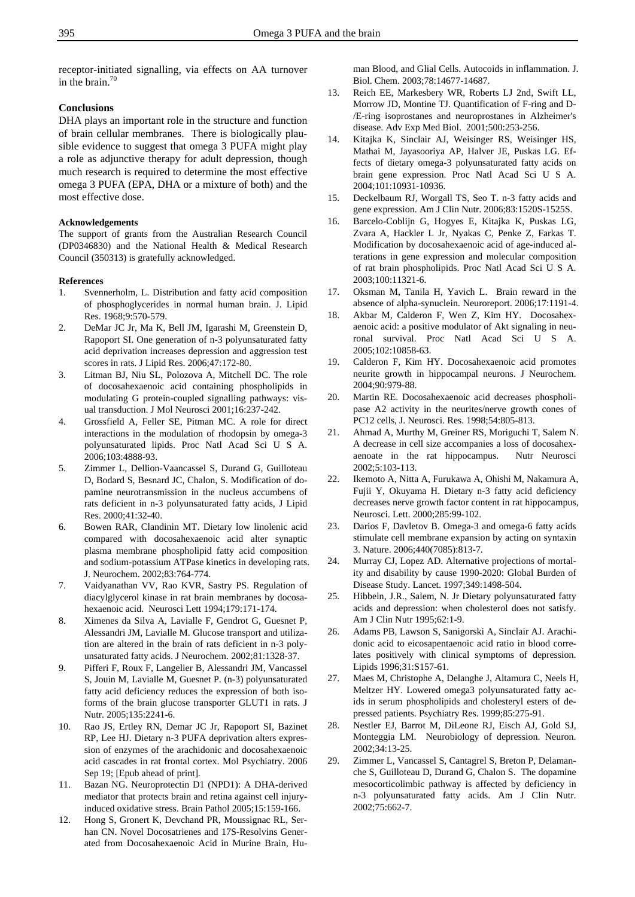receptor-initiated signalling, via effects on AA turnover in the brain. $70$ 

# **Conclusions**

DHA plays an important role in the structure and function of brain cellular membranes. There is biologically plausible evidence to suggest that omega 3 PUFA might play a role as adjunctive therapy for adult depression, though much research is required to determine the most effective omega 3 PUFA (EPA, DHA or a mixture of both) and the most effective dose.

#### **Acknowledgements**

The support of grants from the Australian Research Council (DP0346830) and the National Health & Medical Research Council (350313) is gratefully acknowledged.

#### **References**

- 1. Svennerholm, L. Distribution and fatty acid composition of phosphoglycerides in normal human brain. J. Lipid Res. 1968;9:570-579.
- 2. DeMar JC Jr, Ma K, Bell JM, Igarashi M, Greenstein D, Rapoport SI. One generation of n-3 polyunsaturated fatty acid deprivation increases depression and aggression test scores in rats. J Lipid Res. 2006;47:172-80.
- 3. Litman BJ, Niu SL, Polozova A, Mitchell DC. The role of docosahexaenoic acid containing phospholipids in modulating G protein-coupled signalling pathways: visual transduction. J Mol Neurosci 2001;16:237-242.
- 4. Grossfield A, Feller SE, Pitman MC. A role for direct interactions in the modulation of rhodopsin by omega-3 polyunsaturated lipids. Proc Natl Acad Sci U S A. 2006;103:4888-93.
- 5. Zimmer L, Dellion-Vaancassel S, Durand G, Guilloteau D, Bodard S, Besnard JC, Chalon, S. Modification of dopamine neurotransmission in the nucleus accumbens of rats deficient in n-3 polyunsaturated fatty acids, J Lipid Res. 2000;41:32-40.
- 6. Bowen RAR, Clandinin MT. Dietary low linolenic acid compared with docosahexaenoic acid alter synaptic plasma membrane phospholipid fatty acid composition and sodium-potassium ATPase kinetics in developing rats. J. Neurochem. 2002;83:764-774.
- 7. Vaidyanathan VV, Rao KVR, Sastry PS. Regulation of diacylglycerol kinase in rat brain membranes by docosahexaenoic acid. Neurosci Lett 1994;179:171-174.
- 8. Ximenes da Silva A, Lavialle F, Gendrot G, Guesnet P, Alessandri JM, Lavialle M. Glucose transport and utilization are altered in the brain of rats deficient in n-3 polyunsaturated fatty acids. J Neurochem. 2002;81:1328-37.
- 9. Pifferi F, Roux F, Langelier B, Alessandri JM, Vancassel S, Jouin M, Lavialle M, Guesnet P. (n-3) polyunsaturated fatty acid deficiency reduces the expression of both isoforms of the brain glucose transporter GLUT1 in rats. J Nutr. 2005;135:2241-6.
- 10. Rao JS, Ertley RN, Demar JC Jr, Rapoport SI, Bazinet RP, Lee HJ. Dietary n-3 PUFA deprivation alters expression of enzymes of the arachidonic and docosahexaenoic acid cascades in rat frontal cortex. Mol Psychiatry. 2006 Sep 19; [Epub ahead of print].
- 11. Bazan NG. Neuroprotectin D1 (NPD1): A DHA-derived mediator that protects brain and retina against cell injuryinduced oxidative stress. Brain Pathol 2005;15:159-166.
- 12. Hong S, Gronert K, Devchand PR, Moussignac RL, Serhan CN. Novel Docosatrienes and 17S-Resolvins Generated from Docosahexaenoic Acid in Murine Brain, Hu-

man Blood, and Glial Cells. Autocoids in inflammation. J. Biol. Chem. 2003;78:14677-14687.

- 13. Reich EE, Markesbery WR, Roberts LJ 2nd, Swift LL, Morrow JD, Montine TJ. Quantification of F-ring and D- /E-ring isoprostanes and neuroprostanes in Alzheimer's disease. Adv Exp Med Biol. 2001;500:253-256.
- 14. Kitajka K, Sinclair AJ, Weisinger RS, Weisinger HS, Mathai M, Jayasooriya AP, Halver JE, Puskas LG. Effects of dietary omega-3 polyunsaturated fatty acids on brain gene expression. Proc Natl Acad Sci U S A. 2004;101:10931-10936.
- 15. Deckelbaum RJ, Worgall TS, Seo T. n-3 fatty acids and gene expression. Am J Clin Nutr. 2006;83:1520S-1525S.
- 16. Barcelo-Coblijn G, Hogyes E, Kitajka K, Puskas LG, Zvara A, Hackler L Jr, Nyakas C, Penke Z, Farkas T. Modification by docosahexaenoic acid of age-induced alterations in gene expression and molecular composition of rat brain phospholipids. Proc Natl Acad Sci U S A. 2003;100:11321-6.
- 17. Oksman M, Tanila H, Yavich L. Brain reward in the absence of alpha-synuclein. Neuroreport. 2006;17:1191-4.
- 18. Akbar M, Calderon F, Wen Z, Kim HY. Docosahexaenoic acid: a positive modulator of Akt signaling in neuronal survival. Proc Natl Acad Sci U S A. 2005;102:10858-63.
- 19. Calderon F, Kim HY. Docosahexaenoic acid promotes neurite growth in hippocampal neurons. J Neurochem. 2004;90:979-88.
- 20. Martin RE. Docosahexaenoic acid decreases phospholipase A2 activity in the neurites/nerve growth cones of PC12 cells, J. Neurosci. Res. 1998;54:805-813.
- 21. Ahmad A, Murthy M, Greiner RS, Moriguchi T, Salem N. A decrease in cell size accompanies a loss of docosahexaenoate in the rat hippocampus. Nutr Neurosci 2002;5:103-113.
- 22. Ikemoto A, Nitta A, Furukawa A, Ohishi M, Nakamura A, Fujii Y, Okuyama H. Dietary n-3 fatty acid deficiency decreases nerve growth factor content in rat hippocampus, Neurosci. Lett. 2000;285:99-102.
- 23. Darios F, Davletov B. Omega-3 and omega-6 fatty acids stimulate cell membrane expansion by acting on syntaxin 3. Nature. 2006;440(7085):813-7.
- 24. Murray CJ, Lopez AD. Alternative projections of mortality and disability by cause 1990-2020: Global Burden of Disease Study. Lancet. 1997;349:1498-504.
- 25. Hibbeln, J.R., Salem, N. Jr Dietary polyunsaturated fatty acids and depression: when cholesterol does not satisfy. Am J Clin Nutr 1995;62:1-9.
- 26. Adams PB, Lawson S, Sanigorski A, Sinclair AJ. Arachidonic acid to eicosapentaenoic acid ratio in blood correlates positively with clinical symptoms of depression. Lipids 1996;31:S157-61.
- 27. Maes M, Christophe A, Delanghe J, Altamura C, Neels H, Meltzer HY. Lowered omega3 polyunsaturated fatty acids in serum phospholipids and cholesteryl esters of depressed patients. Psychiatry Res. 1999;85:275-91.
- 28. Nestler EJ, Barrot M, DiLeone RJ, Eisch AJ, Gold SJ, Monteggia LM. Neurobiology of depression. Neuron. 2002;34:13-25.
- 29. Zimmer L, Vancassel S, Cantagrel S, Breton P, Delamanche S, Guilloteau D, Durand G, Chalon S. The dopamine mesocorticolimbic pathway is affected by deficiency in n-3 polyunsaturated fatty acids. Am J Clin Nutr. 2002;75:662-7.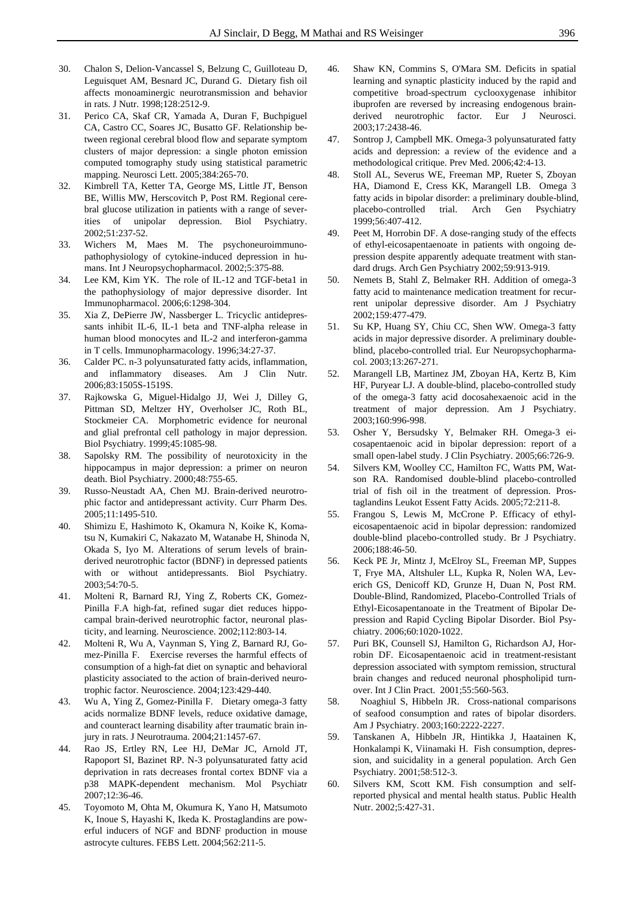- 30. Chalon S, Delion-Vancassel S, Belzung C, Guilloteau D, Leguisquet AM, Besnard JC, Durand G. Dietary fish oil affects monoaminergic neurotransmission and behavior in rats. J Nutr. 1998;128:2512-9.
- 31. Perico CA, Skaf CR, Yamada A, Duran F, Buchpiguel CA, Castro CC, Soares JC, Busatto GF. Relationship between regional cerebral blood flow and separate symptom clusters of major depression: a single photon emission computed tomography study using statistical parametric mapping. Neurosci Lett. 2005;384:265-70.
- 32. Kimbrell TA, Ketter TA, George MS, Little JT, Benson BE, Willis MW, Herscovitch P, Post RM. Regional cerebral glucose utilization in patients with a range of severities of unipolar depression. Biol Psychiatry. 2002;51:237-52.
- 33. Wichers M, Maes M. The psychoneuroimmunopathophysiology of cytokine-induced depression in humans. Int J Neuropsychopharmacol. 2002;5:375-88.
- 34. Lee KM, Kim YK. The role of IL-12 and TGF-beta1 in the pathophysiology of major depressive disorder. Int Immunopharmacol. 2006;6:1298-304.
- 35. Xia Z, DePierre JW, Nassberger L. Tricyclic antidepressants inhibit IL-6, IL-1 beta and TNF-alpha release in human blood monocytes and IL-2 and interferon-gamma in T cells. Immunopharmacology. 1996;34:27-37.
- 36. Calder PC. n-3 polyunsaturated fatty acids, inflammation, and inflammatory diseases. Am J Clin Nutr. 2006;83:1505S-1519S.
- 37. Rajkowska G, Miguel-Hidalgo JJ, Wei J, Dilley G, Pittman SD, Meltzer HY, Overholser JC, Roth BL, Stockmeier CA. Morphometric evidence for neuronal and glial prefrontal cell pathology in major depression. Biol Psychiatry. 1999;45:1085-98.
- 38. Sapolsky RM. The possibility of neurotoxicity in the hippocampus in major depression: a primer on neuron death. Biol Psychiatry. 2000;48:755-65.
- 39. Russo-Neustadt AA, Chen MJ. Brain-derived neurotrophic factor and antidepressant activity. Curr Pharm Des. 2005;11:1495-510.
- 40. Shimizu E, Hashimoto K, Okamura N, Koike K, Komatsu N, Kumakiri C, Nakazato M, Watanabe H, Shinoda N, Okada S, Iyo M. Alterations of serum levels of brainderived neurotrophic factor (BDNF) in depressed patients with or without antidepressants. Biol Psychiatry. 2003;54:70-5.
- 41. Molteni R, Barnard RJ, Ying Z, Roberts CK, Gomez-Pinilla F.A high-fat, refined sugar diet reduces hippocampal brain-derived neurotrophic factor, neuronal plasticity, and learning. Neuroscience. 2002;112:803-14.
- 42. Molteni R, Wu A, Vaynman S, Ying Z, Barnard RJ, Gomez-Pinilla F. Exercise reverses the harmful effects of consumption of a high-fat diet on synaptic and behavioral plasticity associated to the action of brain-derived neurotrophic factor. Neuroscience. 2004;123:429-440.
- 43. Wu A, Ying Z, Gomez-Pinilla F. Dietary omega-3 fatty acids normalize BDNF levels, reduce oxidative damage, and counteract learning disability after traumatic brain injury in rats. J Neurotrauma. 2004;21:1457-67.
- 44. Rao JS, Ertley RN, Lee HJ, DeMar JC, Arnold JT, Rapoport SI, Bazinet RP. N-3 polyunsaturated fatty acid deprivation in rats decreases frontal cortex BDNF via a p38 MAPK-dependent mechanism. Mol Psychiatr 2007;12:36-46.
- 45. Toyomoto M, Ohta M, Okumura K, Yano H, Matsumoto K, Inoue S, Hayashi K, Ikeda K. Prostaglandins are powerful inducers of NGF and BDNF production in mouse astrocyte cultures. FEBS Lett. 2004;562:211-5.
- 46. Shaw KN, Commins S, O'Mara SM. Deficits in spatial learning and synaptic plasticity induced by the rapid and competitive broad-spectrum cyclooxygenase inhibitor ibuprofen are reversed by increasing endogenous brainderived neurotrophic factor. Eur J Neurosci. 2003;17:2438-46.
- 47. Sontrop J, Campbell MK. Omega-3 polyunsaturated fatty acids and depression: a review of the evidence and a methodological critique. Prev Med. 2006;42:4-13.
- 48. Stoll AL, Severus WE, Freeman MP, Rueter S, Zboyan HA, Diamond E, Cress KK, Marangell LB. Omega 3 fatty acids in bipolar disorder: a preliminary double-blind, placebo-controlled trial. Arch Gen Psychiatry 1999;56:407-412.
- 49. Peet M, Horrobin DF. A dose-ranging study of the effects of ethyl-eicosapentaenoate in patients with ongoing depression despite apparently adequate treatment with standard drugs. Arch Gen Psychiatry 2002;59:913-919.
- 50. Nemets B, Stahl Z, Belmaker RH. Addition of omega-3 fatty acid to maintenance medication treatment for recurrent unipolar depressive disorder. Am J Psychiatry 2002;159:477-479.
- 51. Su KP, Huang SY, Chiu CC, Shen WW. Omega-3 fatty acids in major depressive disorder. A preliminary doubleblind, placebo-controlled trial. Eur Neuropsychopharmacol. 2003;13:267-271.
- 52. Marangell LB, Martinez JM, Zboyan HA, Kertz B, Kim HF, Puryear LJ. A double-blind, placebo-controlled study of the omega-3 fatty acid docosahexaenoic acid in the treatment of major depression. Am J Psychiatry. 2003;160:996-998.
- 53. Osher Y, Bersudsky Y, Belmaker RH. Omega-3 eicosapentaenoic acid in bipolar depression: report of a small open-label study. J Clin Psychiatry. 2005;66:726-9.
- 54. Silvers KM, Woolley CC, Hamilton FC, Watts PM, Watson RA. Randomised double-blind placebo-controlled trial of fish oil in the treatment of depression. Prostaglandins Leukot Essent Fatty Acids. 2005;72:211-8.
- 55. Frangou S, Lewis M, McCrone P. Efficacy of ethyleicosapentaenoic acid in bipolar depression: randomized double-blind placebo-controlled study. Br J Psychiatry. 2006;188:46-50.
- 56. Keck PE Jr, Mintz J, McElroy SL, Freeman MP, Suppes T, Frye MA, Altshuler LL, Kupka R, Nolen WA, Leverich GS, Denicoff KD, Grunze H, Duan N, Post RM. Double-Blind, Randomized, Placebo-Controlled Trials of Ethyl-Eicosapentanoate in the Treatment of Bipolar Depression and Rapid Cycling Bipolar Disorder. Biol Psychiatry. 2006;60:1020-1022.
- 57. Puri BK, Counsell SJ, Hamilton G, Richardson AJ, Horrobin DF. Eicosapentaenoic acid in treatment-resistant depression associated with symptom remission, structural brain changes and reduced neuronal phospholipid turnover. Int J Clin Pract. 2001;55:560-563.
- 58. Noaghiul S, Hibbeln JR. Cross-national comparisons of seafood consumption and rates of bipolar disorders. Am J Psychiatry. 2003;160:2222-2227.
- 59. Tanskanen A, Hibbeln JR, Hintikka J, Haatainen K, Honkalampi K, Viinamaki H. Fish consumption, depression, and suicidality in a general population. Arch Gen Psychiatry. 2001;58:512-3.
- 60. Silvers KM, Scott KM. Fish consumption and selfreported physical and mental health status. Public Health Nutr. 2002;5:427-31.